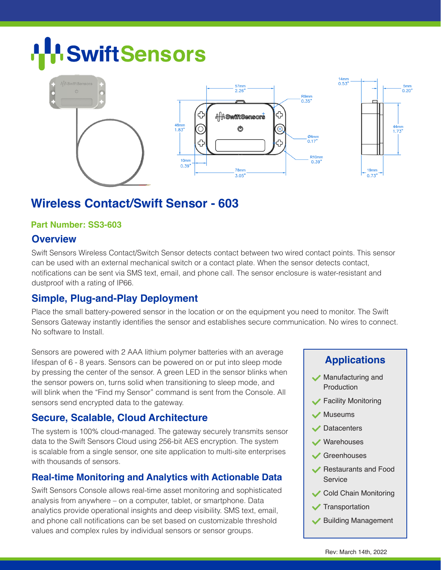# **SwiftSensors**



### **Wireless Contact/Swift Sensor - 603**

#### **Part Number: SS3-603**

#### **Overview**

Swift Sensors Wireless Contact/Switch Sensor detects contact between two wired contact points. This sensor can be used with an external mechanical switch or a contact plate. When the sensor detects contact, notifications can be sent via SMS text, email, and phone call. The sensor enclosure is water-resistant and dustproof with a rating of IP66.

#### **Simple, Plug-and-Play Deployment**

Place the small battery-powered sensor in the location or on the equipment you need to monitor. The Swift Sensors Gateway instantly identifies the sensor and establishes secure communication. No wires to connect. No software to Install.

Sensors are powered with 2 AAA lithium polymer batteries with an average lifespan of 6 - 8 years. Sensors can be powered on or put into sleep mode by pressing the center of the sensor. A green LED in the sensor blinks when the sensor powers on, turns solid when transitioning to sleep mode, and will blink when the "Find my Sensor" command is sent from the Console. All sensors send encrypted data to the gateway.

#### **Secure, Scalable, Cloud Architecture**

The system is 100% cloud-managed. The gateway securely transmits sensor data to the Swift Sensors Cloud using 256-bit AES encryption. The system is scalable from a single sensor, one site application to multi-site enterprises with thousands of sensors.

#### **Real-time Monitoring and Analytics with Actionable Data**

Swift Sensors Console allows real-time asset monitoring and sophisticated analysis from anywhere – on a computer, tablet, or smartphone. Data analytics provide operational insights and deep visibility. SMS text, email, and phone call notifications can be set based on customizable threshold values and complex rules by individual sensors or sensor groups.

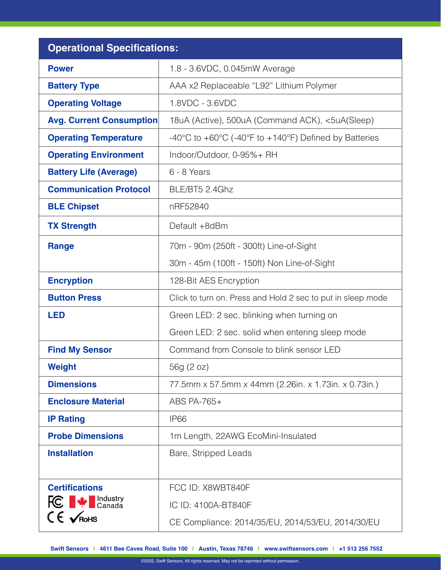| <b>Operational Specifications:</b> |                                                                                               |
|------------------------------------|-----------------------------------------------------------------------------------------------|
| <b>Power</b>                       | 1.8 - 3.6VDC, 0.045mW Average                                                                 |
| <b>Battery Type</b>                | AAA x2 Replaceable "L92" Lithium Polymer                                                      |
| <b>Operating Voltage</b>           | 1.8VDC - 3.6VDC                                                                               |
| <b>Avg. Current Consumption</b>    | 18uA (Active), 500uA (Command ACK), <5uA(Sleep)                                               |
| <b>Operating Temperature</b>       | -40 $\degree$ C to +60 $\degree$ C (-40 $\degree$ F to +140 $\degree$ F) Defined by Batteries |
| <b>Operating Environment</b>       | Indoor/Outdoor, 0-95%+ RH                                                                     |
| <b>Battery Life (Average)</b>      | 6 - 8 Years                                                                                   |
| <b>Communication Protocol</b>      | BLE/BT5 2.4Ghz                                                                                |
| <b>BLE Chipset</b>                 | nRF52840                                                                                      |
| <b>TX Strength</b>                 | Default +8dBm                                                                                 |
| Range                              | 70m - 90m (250ft - 300ft) Line-of-Sight                                                       |
|                                    | 30m - 45m (100ft - 150ft) Non Line-of-Sight                                                   |
| <b>Encryption</b>                  | 128-Bit AES Encryption                                                                        |
| <b>Button Press</b>                | Click to turn on. Press and Hold 2 sec to put in sleep mode                                   |
| <b>LED</b>                         | Green LED: 2 sec. blinking when turning on                                                    |
|                                    | Green LED: 2 sec. solid when entering sleep mode                                              |
| <b>Find My Sensor</b>              | Command from Console to blink sensor LED                                                      |
| <b>Weight</b>                      | 56g (2 oz)                                                                                    |
| <b>Dimensions</b>                  | 77.5mm x 57.5mm x 44mm (2.26in. x 1.73in. x 0.73in.)                                          |
| <b>Enclosure Material</b>          | ABS PA-765+                                                                                   |
| <b>IP Rating</b>                   | IP <sub>66</sub>                                                                              |
| <b>Probe Dimensions</b>            | 1m Length, 22AWG EcoMini-Insulated                                                            |
| <b>Installation</b>                | Bare, Stripped Leads                                                                          |
| <b>Certifications</b>              | FCC ID: X8WBT840F                                                                             |
| <b>FC</b> $\bullet$ Industry       | IC ID: 4100A-BT840F                                                                           |
| $CE \nightharpoondown$ RoHS        | CE Compliance: 2014/35/EU, 2014/53/EU, 2014/30/EU                                             |